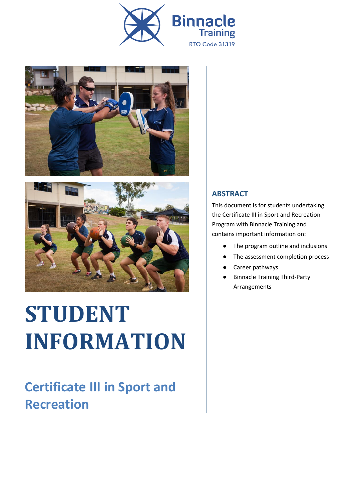





# **STUDENT INFORMATION**

#### **Certificate III in Sport and Recreation**

#### **ABSTRACT**

This document is for students undertaking the Certificate III in Sport and Recreation Program with Binnacle Training and contains important information on:

- The program outline and inclusions
- The assessment completion process
- Career pathways
- Binnacle Training Third-Party Arrangements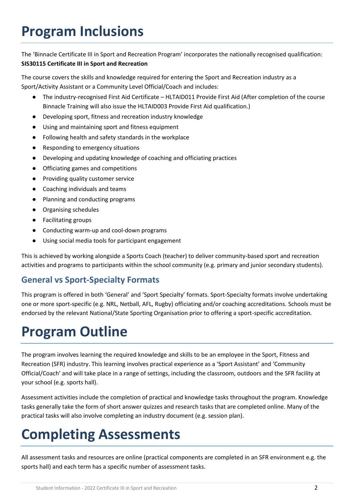## **Program Inclusions**

The 'Binnacle Certificate III in Sport and Recreation Program' incorporates the nationally recognised qualification: **SIS30115 Certificate III in Sport and Recreation**

The course covers the skills and knowledge required for entering the Sport and Recreation industry as a Sport/Activity Assistant or a Community Level Official/Coach and includes:

- The industry-recognised First Aid Certificate HLTAID011 Provide First Aid (After completion of the course Binnacle Training will also issue the HLTAID003 Provide First Aid qualification.)
- Developing sport, fitness and recreation industry knowledge
- Using and maintaining sport and fitness equipment
- Following health and safety standards in the workplace
- Responding to emergency situations
- Developing and updating knowledge of coaching and officiating practices
- Officiating games and competitions
- Providing quality customer service
- Coaching individuals and teams
- Planning and conducting programs
- Organising schedules
- Facilitating groups
- Conducting warm-up and cool-down programs
- Using social media tools for participant engagement

This is achieved by working alongside a Sports Coach (teacher) to deliver community-based sport and recreation activities and programs to participants within the school community (e.g. primary and junior secondary students).

#### **General vs Sport-Specialty Formats**

This program is offered in both 'General' and 'Sport Specialty' formats. Sport-Specialty formats involve undertaking one or more sport-specific (e.g. NRL, Netball, AFL, Rugby) officiating and/or coaching accreditations. Schools must be endorsed by the relevant National/State Sporting Organisation prior to offering a sport-specific accreditation.

### **Program Outline**

The program involves learning the required knowledge and skills to be an employee in the Sport, Fitness and Recreation (SFR) industry. This learning involves practical experience as a 'Sport Assistant' and 'Community Official/Coach' and will take place in a range of settings, including the classroom, outdoors and the SFR facility at your school (e.g. sports hall).

Assessment activities include the completion of practical and knowledge tasks throughout the program. Knowledge tasks generally take the form of short answer quizzes and research tasks that are completed online. Many of the practical tasks will also involve completing an industry document (e.g. session plan).

# **Completing Assessments**

All assessment tasks and resources are online (practical components are completed in an SFR environment e.g. the sports hall) and each term has a specific number of assessment tasks.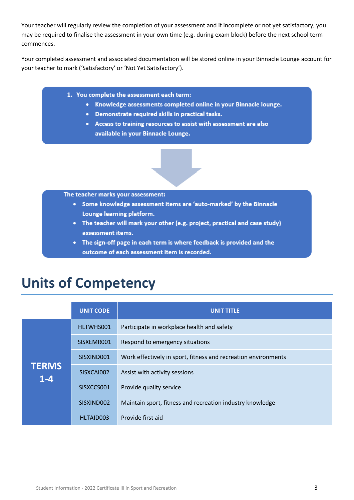Your teacher will regularly review the completion of your assessment and if incomplete or not yet satisfactory, you may be required to finalise the assessment in your own time (e.g. during exam block) before the next school term commences.

Your completed assessment and associated documentation will be stored online in your Binnacle Lounge account for your teacher to mark ('Satisfactory' or 'Not Yet Satisfactory').

- 1. You complete the assessment each term:
	- Knowledge assessments completed online in your Binnacle lounge.
	- Demonstrate required skills in practical tasks.
	- Access to training resources to assist with assessment are also available in your Binnacle Lounge.

The teacher marks your assessment:

- Some knowledge assessment items are 'auto-marked' by the Binnacle Lounge learning platform.
- The teacher will mark your other (e.g. project, practical and case study) assessment items.
- The sign-off page in each term is where feedback is provided and the outcome of each assessment item is recorded.

#### **Units of Competency**

|                       | <b>UNIT CODE</b> | <b>UNIT TITLE</b>                                              |
|-----------------------|------------------|----------------------------------------------------------------|
| <b>TERMS</b><br>$1-4$ | HLTWHS001        | Participate in workplace health and safety                     |
|                       | SISXEMR001       | Respond to emergency situations                                |
|                       | SISXIND001       | Work effectively in sport, fitness and recreation environments |
|                       | SISXCAI002       | Assist with activity sessions                                  |
|                       | SISXCCS001       | Provide quality service                                        |
|                       | SISXIND002       | Maintain sport, fitness and recreation industry knowledge      |
|                       | HLTAID003        | Provide first aid                                              |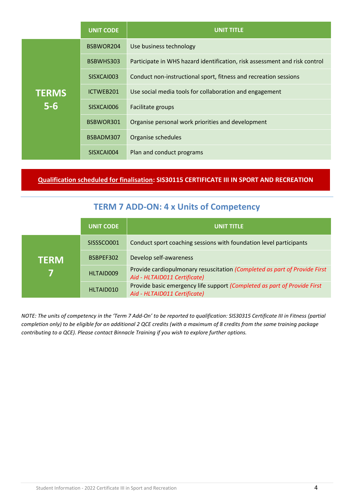|              | <b>UNIT CODE</b> | <b>UNIT TITLE</b>                                                          |
|--------------|------------------|----------------------------------------------------------------------------|
|              | BSBWOR204        | Use business technology                                                    |
|              | BSBWHS303        | Participate in WHS hazard identification, risk assessment and risk control |
|              | SISXCAI003       | Conduct non-instructional sport, fitness and recreation sessions           |
| <b>TERMS</b> | ICTWEB201        | Use social media tools for collaboration and engagement                    |
| $5-6$        | SISXCAI006       | Facilitate groups                                                          |
|              | BSBWOR301        | Organise personal work priorities and development                          |
|              | BSBADM307        | Organise schedules                                                         |
|              | SISXCAI004       | Plan and conduct programs                                                  |

**Qualification scheduled for finalisation: SIS30115 CERTIFICATE III IN SPORT AND RECREATION**

#### **TERM 7 ADD-ON: 4 x Units of Competency**

|             | <b>UNIT CODE</b> | <b>UNIT TITLE</b>                                                                                         |
|-------------|------------------|-----------------------------------------------------------------------------------------------------------|
| <b>TERM</b> | SISSSCO001       | Conduct sport coaching sessions with foundation level participants                                        |
|             | BSBPEF302        | Develop self-awareness                                                                                    |
|             | HLTAID009        | Provide cardiopulmonary resuscitation (Completed as part of Provide First<br>Aid - HLTAID011 Certificate) |
|             | HLTAID010        | Provide basic emergency life support (Completed as part of Provide First<br>Aid - HLTAID011 Certificate)  |

*NOTE: The units of competency in the 'Term 7 Add-On' to be reported to qualification: SIS30315 Certificate III in Fitness (partial completion only) to be eligible for an additional 2 QCE credits (with a maximum of 8 credits from the same training package contributing to a QCE). Please contact Binnacle Training if you wish to explore further options.*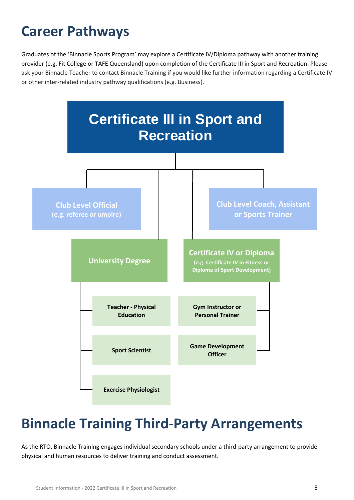### **Career Pathways**

Graduates of the 'Binnacle Sports Program' may explore a Certificate IV/Diploma pathway with another training provider (e.g. Fit College or TAFE Queensland) upon completion of the Certificate III in Sport and Recreation. Please ask your Binnacle Teacher to contact Binnacle Training if you would like further information regarding a Certificate IV or other inter-related industry pathway qualifications (e.g. Business).



# **Binnacle Training Third-Party Arrangements**

As the RTO, Binnacle Training engages individual secondary schools under a third-party arrangement to provide physical and human resources to deliver training and conduct assessment.